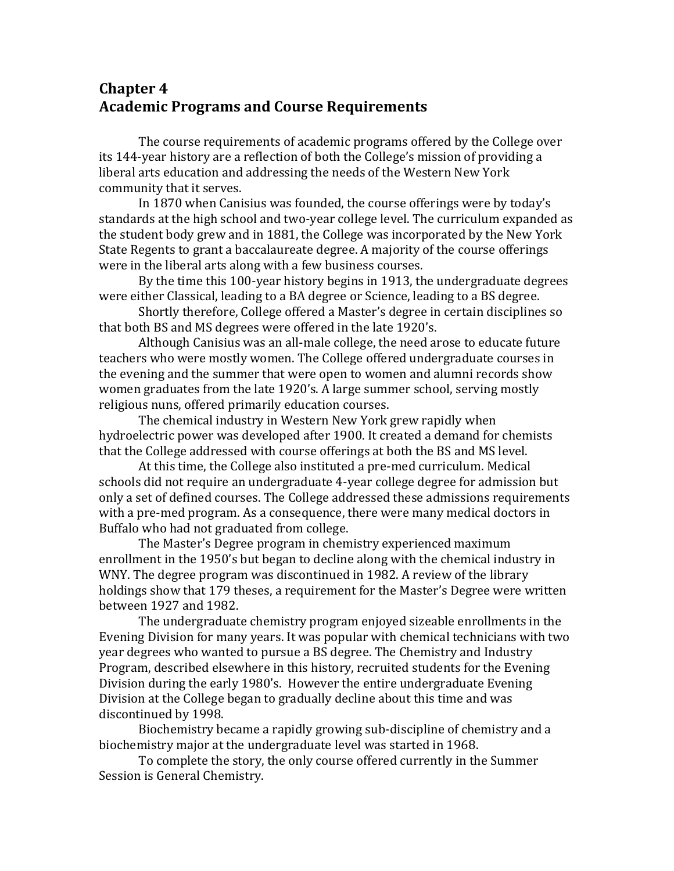# **Chapter 4 Academic Programs and Course Requirements**

The course requirements of academic programs offered by the College over its 144-year history are a reflection of both the College's mission of providing a liberal arts education and addressing the needs of the Western New York community that it serves.

In 1870 when Canisius was founded, the course offerings were by today's standards at the high school and two-year college level. The curriculum expanded as the student body grew and in 1881, the College was incorporated by the New York State Regents to grant a baccalaureate degree. A majority of the course offerings were in the liberal arts along with a few business courses.

By the time this 100-year history begins in 1913, the undergraduate degrees were either Classical, leading to a BA degree or Science, leading to a BS degree.

Shortly therefore, College offered a Master's degree in certain disciplines so that both BS and MS degrees were offered in the late 1920's.

Although Canisius was an all-male college, the need arose to educate future teachers who were mostly women. The College offered undergraduate courses in the evening and the summer that were open to women and alumni records show women graduates from the late 1920's. A large summer school, serving mostly religious nuns, offered primarily education courses.

The chemical industry in Western New York grew rapidly when hydroelectric power was developed after 1900. It created a demand for chemists that the College addressed with course offerings at both the BS and MS level.

At this time, the College also instituted a pre-med curriculum. Medical schools did not require an undergraduate 4-year college degree for admission but only a set of defined courses. The College addressed these admissions requirements with a pre-med program. As a consequence, there were many medical doctors in Buffalo who had not graduated from college.

The Master's Degree program in chemistry experienced maximum enrollment in the 1950's but began to decline along with the chemical industry in WNY. The degree program was discontinued in 1982. A review of the library holdings show that 179 theses, a requirement for the Master's Degree were written between 1927 and 1982.

The undergraduate chemistry program enjoyed sizeable enrollments in the Evening Division for many years. It was popular with chemical technicians with two year degrees who wanted to pursue a BS degree. The Chemistry and Industry Program, described elsewhere in this history, recruited students for the Evening Division during the early 1980's. However the entire undergraduate Evening Division at the College began to gradually decline about this time and was discontinued by 1998.

Biochemistry became a rapidly growing sub-discipline of chemistry and a biochemistry major at the undergraduate level was started in 1968.

To complete the story, the only course offered currently in the Summer Session is General Chemistry.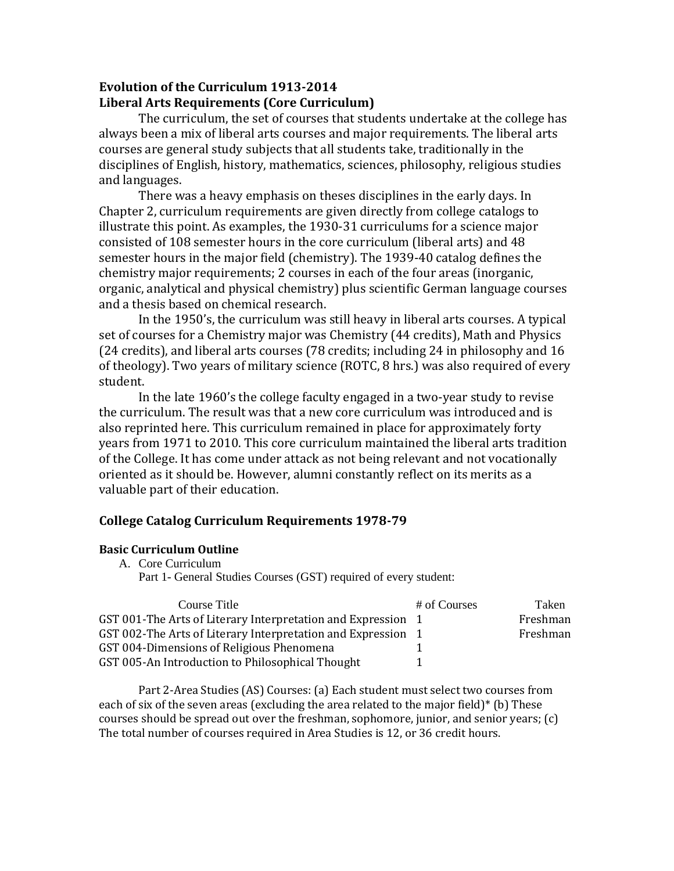## **Evolution of the Curriculum 1913-2014 Liberal Arts Requirements (Core Curriculum)**

The curriculum, the set of courses that students undertake at the college has always been a mix of liberal arts courses and major requirements. The liberal arts courses are general study subjects that all students take, traditionally in the disciplines of English, history, mathematics, sciences, philosophy, religious studies and languages.

There was a heavy emphasis on theses disciplines in the early days. In Chapter 2, curriculum requirements are given directly from college catalogs to illustrate this point. As examples, the 1930-31 curriculums for a science major consisted of 108 semester hours in the core curriculum (liberal arts) and 48 semester hours in the major field (chemistry). The 1939-40 catalog defines the chemistry major requirements; 2 courses in each of the four areas (inorganic, organic, analytical and physical chemistry) plus scientific German language courses and a thesis based on chemical research.

In the 1950's, the curriculum was still heavy in liberal arts courses. A typical set of courses for a Chemistry major was Chemistry (44 credits), Math and Physics (24 credits), and liberal arts courses (78 credits; including 24 in philosophy and 16 of theology). Two years of military science (ROTC, 8 hrs.) was also required of every student.

In the late 1960's the college faculty engaged in a two-year study to revise the curriculum. The result was that a new core curriculum was introduced and is also reprinted here. This curriculum remained in place for approximately forty years from 1971 to 2010. This core curriculum maintained the liberal arts tradition of the College. It has come under attack as not being relevant and not vocationally oriented as it should be. However, alumni constantly reflect on its merits as a valuable part of their education.

## **College Catalog Curriculum Requirements 1978-79**

#### **Basic Curriculum Outline**

A. Core Curriculum

Part 1- General Studies Courses (GST) required of every student:

| Course Title                                                 | # of Courses | Taken    |
|--------------------------------------------------------------|--------------|----------|
| GST 001-The Arts of Literary Interpretation and Expression 1 |              | Freshman |
| GST 002-The Arts of Literary Interpretation and Expression 1 |              | Freshman |
| GST 004-Dimensions of Religious Phenomena                    |              |          |
| GST 005-An Introduction to Philosophical Thought             |              |          |

Part 2-Area Studies (AS) Courses: (a) Each student must select two courses from each of six of the seven areas (excluding the area related to the major field)\* (b) These courses should be spread out over the freshman, sophomore, junior, and senior years; (c) The total number of courses required in Area Studies is 12, or 36 credit hours.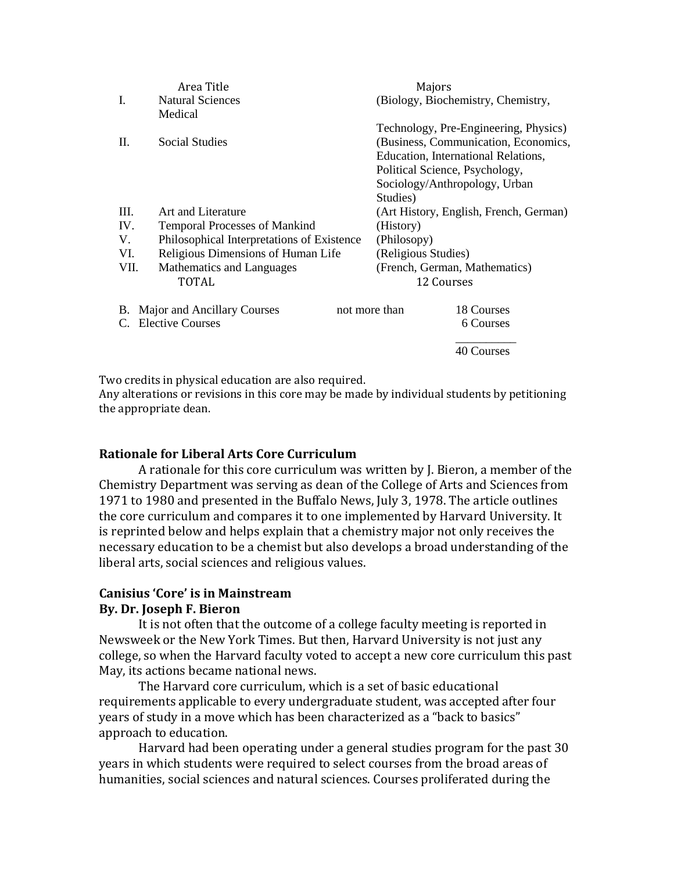|                         | Area Title                                 | Majors                                 |
|-------------------------|--------------------------------------------|----------------------------------------|
| I.                      | <b>Natural Sciences</b>                    | (Biology, Biochemistry, Chemistry,     |
|                         | Medical                                    |                                        |
|                         |                                            | Technology, Pre-Engineering, Physics)  |
| II.                     | <b>Social Studies</b>                      | (Business, Communication, Economics,   |
|                         |                                            | Education, International Relations,    |
|                         |                                            | Political Science, Psychology,         |
|                         |                                            | Sociology/Anthropology, Urban          |
|                         |                                            | Studies)                               |
| III.                    | Art and Literature                         | (Art History, English, French, German) |
| IV.                     | <b>Temporal Processes of Mankind</b>       | (History)                              |
| V.                      | Philosophical Interpretations of Existence | (Philosopy)                            |
| VI.                     | Religious Dimensions of Human Life         | (Religious Studies)                    |
| VII.                    | Mathematics and Languages                  | (French, German, Mathematics)          |
|                         | TOTAL                                      | 12 Courses                             |
| В.                      | Major and Ancillary Courses                | 18 Courses<br>not more than            |
| <b>Elective Courses</b> |                                            | 6 Courses                              |
|                         |                                            |                                        |
|                         |                                            | 40 Courses                             |

Two credits in physical education are also required.

Any alterations or revisions in this core may be made by individual students by petitioning the appropriate dean.

## **Rationale for Liberal Arts Core Curriculum**

A rationale for this core curriculum was written by J. Bieron, a member of the Chemistry Department was serving as dean of the College of Arts and Sciences from 1971 to 1980 and presented in the Buffalo News, July 3, 1978. The article outlines the core curriculum and compares it to one implemented by Harvard University. It is reprinted below and helps explain that a chemistry major not only receives the necessary education to be a chemist but also develops a broad understanding of the liberal arts, social sciences and religious values.

#### **Canisius 'Core' is in Mainstream By. Dr. Joseph F. Bieron**

It is not often that the outcome of a college faculty meeting is reported in Newsweek or the New York Times. But then, Harvard University is not just any college, so when the Harvard faculty voted to accept a new core curriculum this past May, its actions became national news.

The Harvard core curriculum, which is a set of basic educational requirements applicable to every undergraduate student, was accepted after four years of study in a move which has been characterized as a "back to basics" approach to education.

Harvard had been operating under a general studies program for the past 30 years in which students were required to select courses from the broad areas of humanities, social sciences and natural sciences. Courses proliferated during the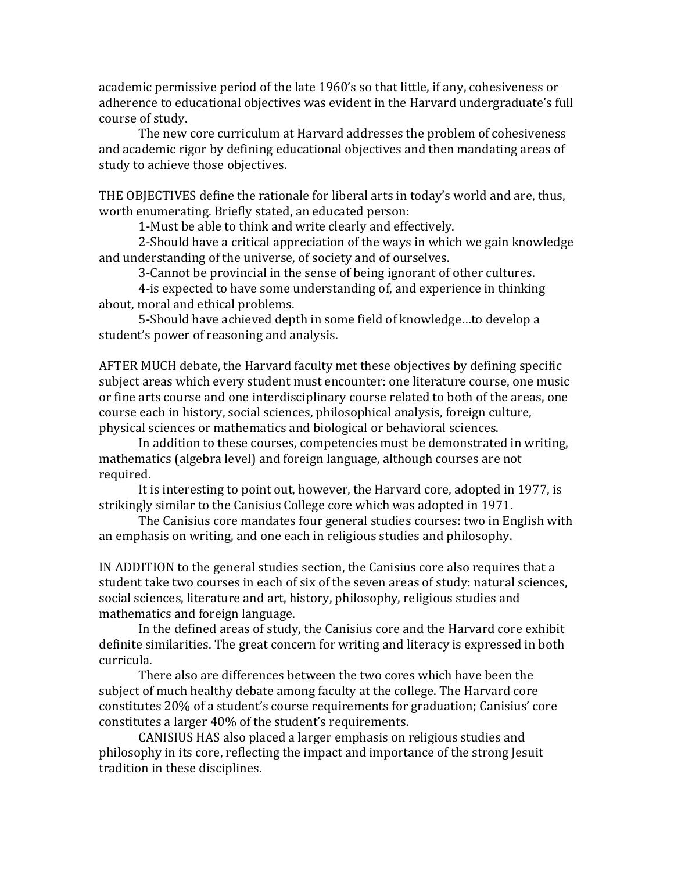academic permissive period of the late 1960's so that little, if any, cohesiveness or adherence to educational objectives was evident in the Harvard undergraduate's full course of study.

The new core curriculum at Harvard addresses the problem of cohesiveness and academic rigor by defining educational objectives and then mandating areas of study to achieve those objectives.

THE OBJECTIVES define the rationale for liberal arts in today's world and are, thus, worth enumerating. Briefly stated, an educated person:

1-Must be able to think and write clearly and effectively.

2-Should have a critical appreciation of the ways in which we gain knowledge and understanding of the universe, of society and of ourselves.

3-Cannot be provincial in the sense of being ignorant of other cultures.

4-is expected to have some understanding of, and experience in thinking about, moral and ethical problems.

5-Should have achieved depth in some field of knowledge…to develop a student's power of reasoning and analysis.

AFTER MUCH debate, the Harvard faculty met these objectives by defining specific subject areas which every student must encounter: one literature course, one music or fine arts course and one interdisciplinary course related to both of the areas, one course each in history, social sciences, philosophical analysis, foreign culture, physical sciences or mathematics and biological or behavioral sciences.

In addition to these courses, competencies must be demonstrated in writing, mathematics (algebra level) and foreign language, although courses are not required.

It is interesting to point out, however, the Harvard core, adopted in 1977, is strikingly similar to the Canisius College core which was adopted in 1971.

The Canisius core mandates four general studies courses: two in English with an emphasis on writing, and one each in religious studies and philosophy.

IN ADDITION to the general studies section, the Canisius core also requires that a student take two courses in each of six of the seven areas of study: natural sciences, social sciences, literature and art, history, philosophy, religious studies and mathematics and foreign language.

In the defined areas of study, the Canisius core and the Harvard core exhibit definite similarities. The great concern for writing and literacy is expressed in both curricula.

There also are differences between the two cores which have been the subject of much healthy debate among faculty at the college. The Harvard core constitutes 20% of a student's course requirements for graduation; Canisius' core constitutes a larger 40% of the student's requirements.

CANISIUS HAS also placed a larger emphasis on religious studies and philosophy in its core, reflecting the impact and importance of the strong Jesuit tradition in these disciplines.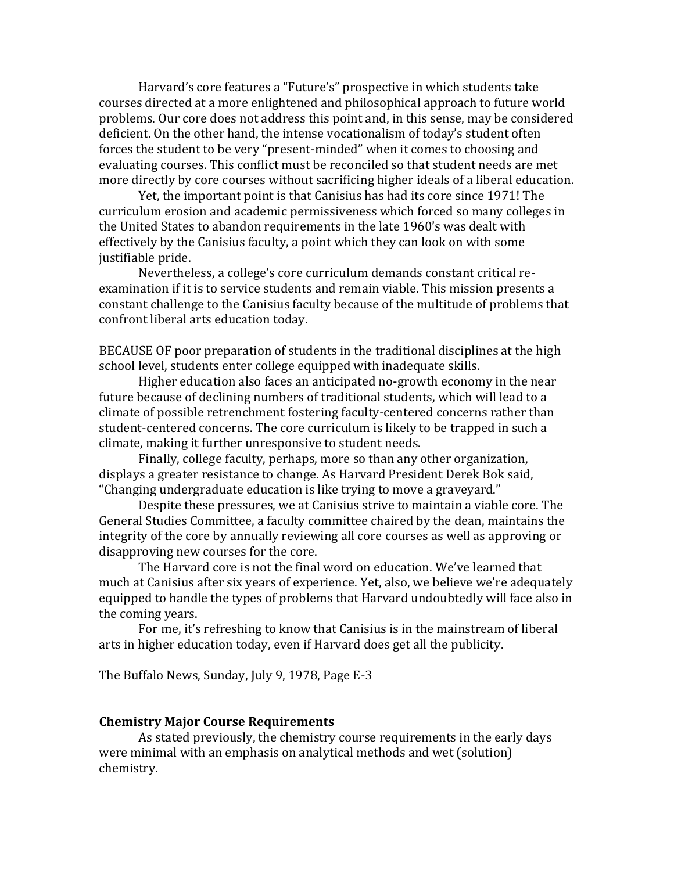Harvard's core features a "Future's" prospective in which students take courses directed at a more enlightened and philosophical approach to future world problems. Our core does not address this point and, in this sense, may be considered deficient. On the other hand, the intense vocationalism of today's student often forces the student to be very "present-minded" when it comes to choosing and evaluating courses. This conflict must be reconciled so that student needs are met more directly by core courses without sacrificing higher ideals of a liberal education.

Yet, the important point is that Canisius has had its core since 1971! The curriculum erosion and academic permissiveness which forced so many colleges in the United States to abandon requirements in the late 1960's was dealt with effectively by the Canisius faculty, a point which they can look on with some justifiable pride.

Nevertheless, a college's core curriculum demands constant critical reexamination if it is to service students and remain viable. This mission presents a constant challenge to the Canisius faculty because of the multitude of problems that confront liberal arts education today.

BECAUSE OF poor preparation of students in the traditional disciplines at the high school level, students enter college equipped with inadequate skills.

Higher education also faces an anticipated no-growth economy in the near future because of declining numbers of traditional students, which will lead to a climate of possible retrenchment fostering faculty-centered concerns rather than student-centered concerns. The core curriculum is likely to be trapped in such a climate, making it further unresponsive to student needs.

Finally, college faculty, perhaps, more so than any other organization, displays a greater resistance to change. As Harvard President Derek Bok said, "Changing undergraduate education is like trying to move a graveyard."

Despite these pressures, we at Canisius strive to maintain a viable core. The General Studies Committee, a faculty committee chaired by the dean, maintains the integrity of the core by annually reviewing all core courses as well as approving or disapproving new courses for the core.

The Harvard core is not the final word on education. We've learned that much at Canisius after six years of experience. Yet, also, we believe we're adequately equipped to handle the types of problems that Harvard undoubtedly will face also in the coming years.

For me, it's refreshing to know that Canisius is in the mainstream of liberal arts in higher education today, even if Harvard does get all the publicity.

The Buffalo News, Sunday, July 9, 1978, Page E-3

#### **Chemistry Major Course Requirements**

As stated previously, the chemistry course requirements in the early days were minimal with an emphasis on analytical methods and wet (solution) chemistry.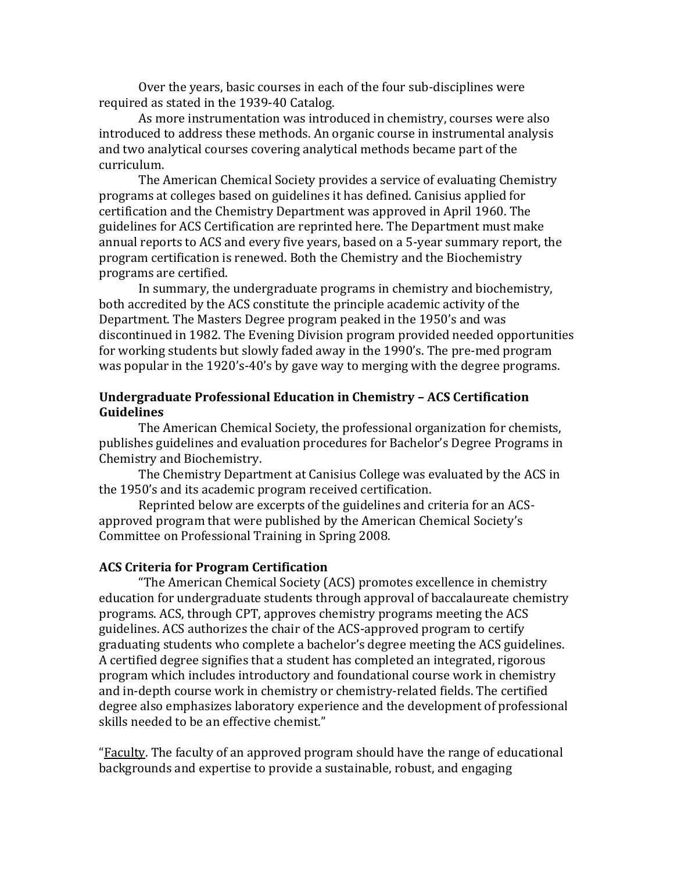Over the years, basic courses in each of the four sub-disciplines were required as stated in the 1939-40 Catalog.

As more instrumentation was introduced in chemistry, courses were also introduced to address these methods. An organic course in instrumental analysis and two analytical courses covering analytical methods became part of the curriculum.

The American Chemical Society provides a service of evaluating Chemistry programs at colleges based on guidelines it has defined. Canisius applied for certification and the Chemistry Department was approved in April 1960. The guidelines for ACS Certification are reprinted here. The Department must make annual reports to ACS and every five years, based on a 5-year summary report, the program certification is renewed. Both the Chemistry and the Biochemistry programs are certified.

In summary, the undergraduate programs in chemistry and biochemistry, both accredited by the ACS constitute the principle academic activity of the Department. The Masters Degree program peaked in the 1950's and was discontinued in 1982. The Evening Division program provided needed opportunities for working students but slowly faded away in the 1990's. The pre-med program was popular in the 1920's-40's by gave way to merging with the degree programs.

## **Undergraduate Professional Education in Chemistry – ACS Certification Guidelines**

The American Chemical Society, the professional organization for chemists, publishes guidelines and evaluation procedures for Bachelor's Degree Programs in Chemistry and Biochemistry.

The Chemistry Department at Canisius College was evaluated by the ACS in the 1950's and its academic program received certification.

Reprinted below are excerpts of the guidelines and criteria for an ACSapproved program that were published by the American Chemical Society's Committee on Professional Training in Spring 2008.

## **ACS Criteria for Program Certification**

"The American Chemical Society (ACS) promotes excellence in chemistry education for undergraduate students through approval of baccalaureate chemistry programs. ACS, through CPT, approves chemistry programs meeting the ACS guidelines. ACS authorizes the chair of the ACS-approved program to certify graduating students who complete a bachelor's degree meeting the ACS guidelines. A certified degree signifies that a student has completed an integrated, rigorous program which includes introductory and foundational course work in chemistry and in-depth course work in chemistry or chemistry-related fields. The certified degree also emphasizes laboratory experience and the development of professional skills needed to be an effective chemist."

"Faculty. The faculty of an approved program should have the range of educational backgrounds and expertise to provide a sustainable, robust, and engaging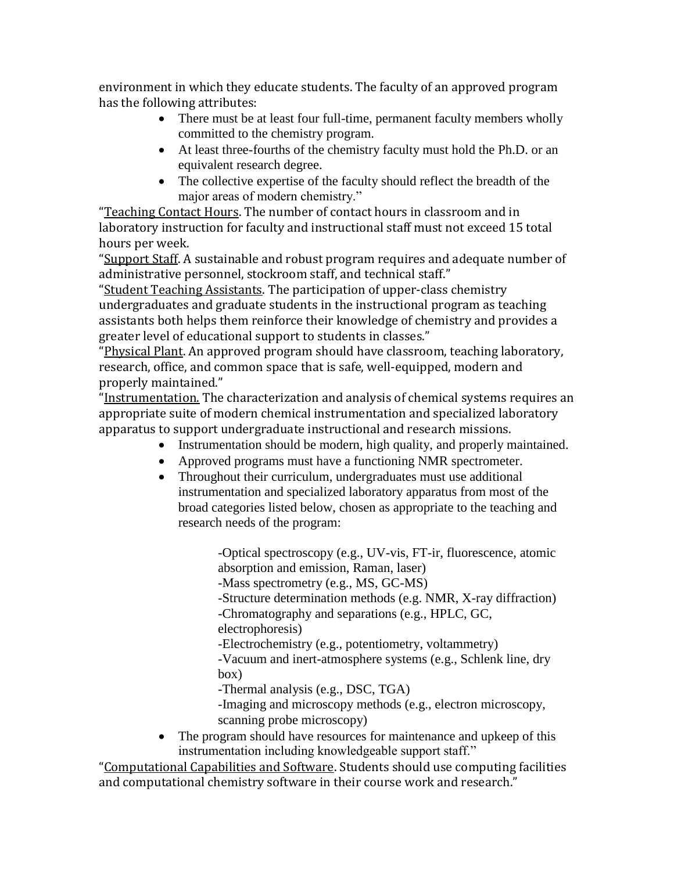environment in which they educate students. The faculty of an approved program has the following attributes:

- There must be at least four full-time, permanent faculty members wholly committed to the chemistry program.
- At least three-fourths of the chemistry faculty must hold the Ph.D. or an equivalent research degree.
- The collective expertise of the faculty should reflect the breadth of the major areas of modern chemistry."

"Teaching Contact Hours. The number of contact hours in classroom and in laboratory instruction for faculty and instructional staff must not exceed 15 total hours per week.

"Support Staff. A sustainable and robust program requires and adequate number of administrative personnel, stockroom staff, and technical staff."

"Student Teaching Assistants. The participation of upper-class chemistry undergraduates and graduate students in the instructional program as teaching assistants both helps them reinforce their knowledge of chemistry and provides a greater level of educational support to students in classes."

"Physical Plant. An approved program should have classroom, teaching laboratory, research, office, and common space that is safe, well-equipped, modern and properly maintained."

"Instrumentation. The characterization and analysis of chemical systems requires an appropriate suite of modern chemical instrumentation and specialized laboratory apparatus to support undergraduate instructional and research missions.

- Instrumentation should be modern, high quality, and properly maintained.
- Approved programs must have a functioning NMR spectrometer.
- Throughout their curriculum, undergraduates must use additional instrumentation and specialized laboratory apparatus from most of the broad categories listed below, chosen as appropriate to the teaching and research needs of the program:

-Optical spectroscopy (e.g., UV-vis, FT-ir, fluorescence, atomic absorption and emission, Raman, laser) -Mass spectrometry (e.g., MS, GC-MS) -Structure determination methods (e.g. NMR, X-ray diffraction) -Chromatography and separations (e.g., HPLC, GC, electrophoresis)

-Electrochemistry (e.g., potentiometry, voltammetry) -Vacuum and inert-atmosphere systems (e.g., Schlenk line, dry box)

-Thermal analysis (e.g., DSC, TGA)

-Imaging and microscopy methods (e.g., electron microscopy, scanning probe microscopy)

• The program should have resources for maintenance and upkeep of this instrumentation including knowledgeable support staff."

"Computational Capabilities and Software. Students should use computing facilities and computational chemistry software in their course work and research."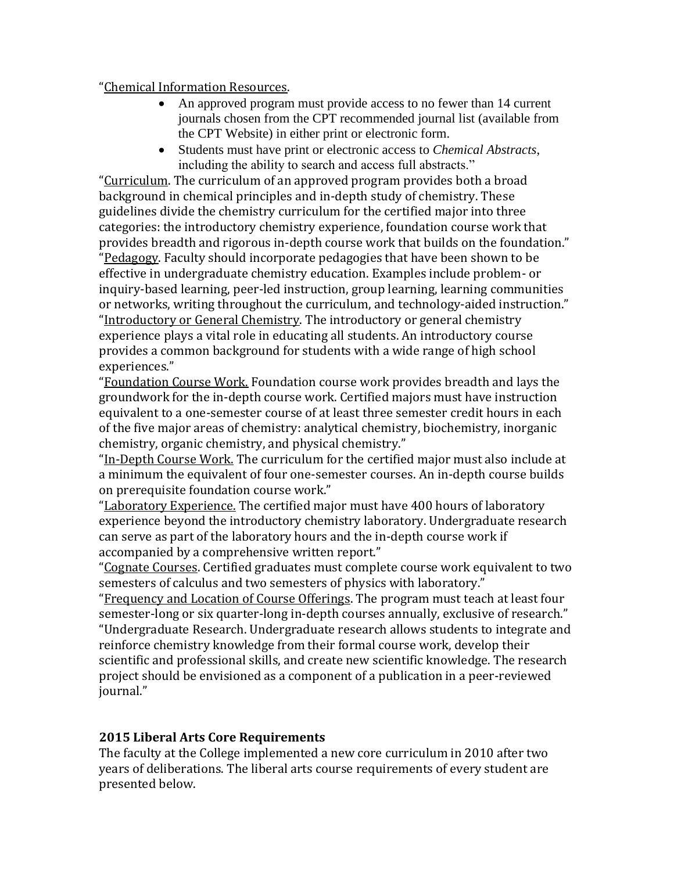## "Chemical Information Resources.

- An approved program must provide access to no fewer than 14 current journals chosen from the CPT recommended journal list (available from the CPT Website) in either print or electronic form.
- Students must have print or electronic access to *Chemical Abstracts*, including the ability to search and access full abstracts."

"Curriculum. The curriculum of an approved program provides both a broad background in chemical principles and in-depth study of chemistry. These guidelines divide the chemistry curriculum for the certified major into three categories: the introductory chemistry experience, foundation course work that provides breadth and rigorous in-depth course work that builds on the foundation." "Pedagogy. Faculty should incorporate pedagogies that have been shown to be effective in undergraduate chemistry education. Examples include problem- or inquiry-based learning, peer-led instruction, group learning, learning communities or networks, writing throughout the curriculum, and technology-aided instruction." "Introductory or General Chemistry. The introductory or general chemistry experience plays a vital role in educating all students. An introductory course provides a common background for students with a wide range of high school experiences."

"Foundation Course Work. Foundation course work provides breadth and lays the groundwork for the in-depth course work. Certified majors must have instruction equivalent to a one-semester course of at least three semester credit hours in each of the five major areas of chemistry: analytical chemistry, biochemistry, inorganic chemistry, organic chemistry, and physical chemistry."

"In-Depth Course Work. The curriculum for the certified major must also include at a minimum the equivalent of four one-semester courses. An in-depth course builds on prerequisite foundation course work."

"Laboratory Experience. The certified major must have 400 hours of laboratory experience beyond the introductory chemistry laboratory. Undergraduate research can serve as part of the laboratory hours and the in-depth course work if accompanied by a comprehensive written report."

"Cognate Courses. Certified graduates must complete course work equivalent to two semesters of calculus and two semesters of physics with laboratory."

"Frequency and Location of Course Offerings. The program must teach at least four semester-long or six quarter-long in-depth courses annually, exclusive of research." "Undergraduate Research. Undergraduate research allows students to integrate and reinforce chemistry knowledge from their formal course work, develop their scientific and professional skills, and create new scientific knowledge. The research project should be envisioned as a component of a publication in a peer-reviewed iournal."

# **2015 Liberal Arts Core Requirements**

The faculty at the College implemented a new core curriculum in 2010 after two years of deliberations. The liberal arts course requirements of every student are presented below.